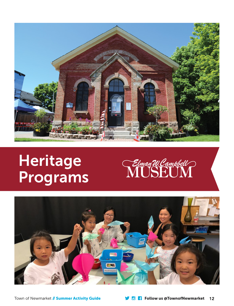

# **Heritage** Programs